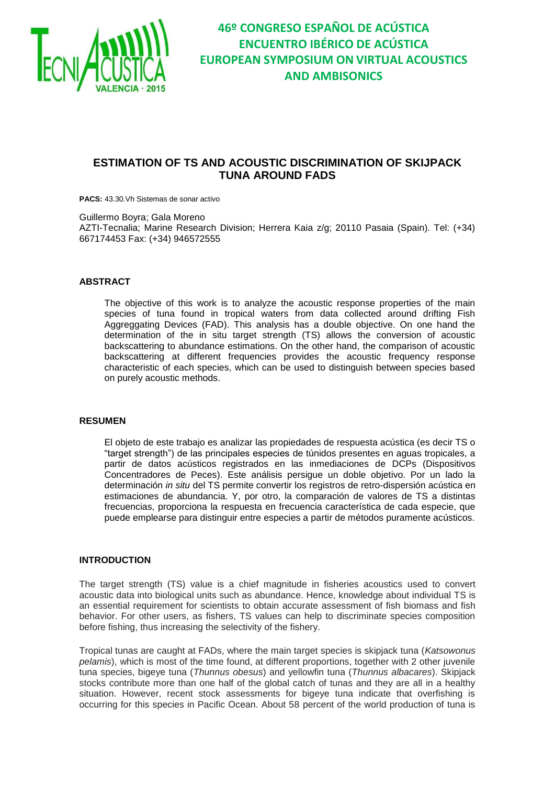

### **ESTIMATION OF TS AND ACOUSTIC DISCRIMINATION OF SKIJPACK TUNA AROUND FADS**

**PACS:** 43.30.Vh Sistemas de sonar activo

Guillermo Boyra; Gala Moreno

AZTI-Tecnalia; Marine Research Division; Herrera Kaia z/g; 20110 Pasaia (Spain). Tel: (+34) 667174453 Fax: (+34) 946572555

### **ABSTRACT**

The objective of this work is to analyze the acoustic response properties of the main species of tuna found in tropical waters from data collected around drifting Fish Aggreggating Devices (FAD). This analysis has a double objective. On one hand the determination of the in situ target strength (TS) allows the conversion of acoustic backscattering to abundance estimations. On the other hand, the comparison of acoustic backscattering at different frequencies provides the acoustic frequency response characteristic of each species, which can be used to distinguish between species based on purely acoustic methods.

#### **RESUMEN**

El objeto de este trabajo es analizar las propiedades de respuesta acústica (es decir TS o "target strength") de las principales especies de túnidos presentes en aguas tropicales, a partir de datos acústicos registrados en las inmediaciones de DCPs (Dispositivos Concentradores de Peces). Este análisis persigue un doble objetivo. Por un lado la determinación *in situ* del TS permite convertir los registros de retro-dispersión acústica en estimaciones de abundancia. Y, por otro, la comparación de valores de TS a distintas frecuencias, proporciona la respuesta en frecuencia característica de cada especie, que puede emplearse para distinguir entre especies a partir de métodos puramente acústicos.

### **INTRODUCTION**

The target strength (TS) value is a chief magnitude in fisheries acoustics used to convert acoustic data into biological units such as abundance. Hence, knowledge about individual TS is an essential requirement for scientists to obtain accurate assessment of fish biomass and fish behavior. For other users, as fishers, TS values can help to discriminate species composition before fishing, thus increasing the selectivity of the fishery.

Tropical tunas are caught at FADs, where the main target species is skipjack tuna (*Katsowonus pelamis*), which is most of the time found, at different proportions, together with 2 other juvenile tuna species, bigeye tuna (*Thunnus obesus*) and yellowfin tuna (*Thunnus albacares*). Skipjack stocks contribute more than one half of the global catch of tunas and they are all in a healthy situation. However, recent stock assessments for bigeye tuna indicate that overfishing is occurring for this species in Pacific Ocean. About 58 percent of the world production of tuna is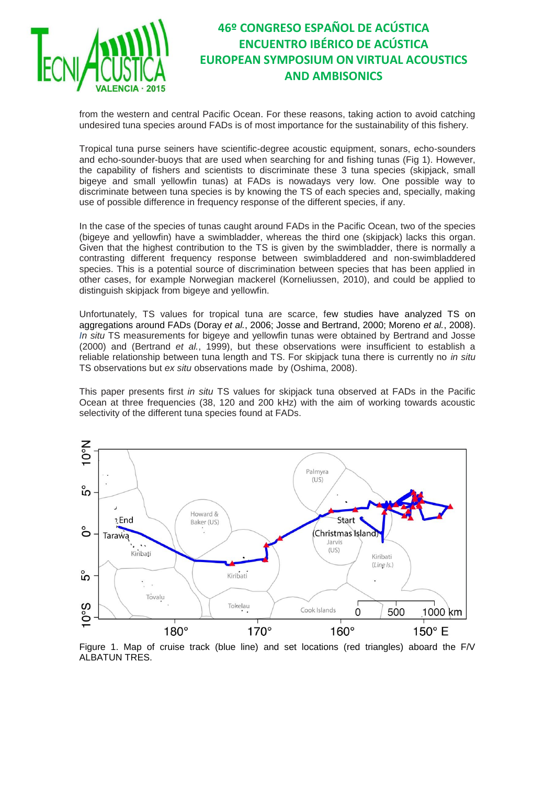

from the western and central Pacific Ocean. For these reasons, taking action to avoid catching undesired tuna species around FADs is of most importance for the sustainability of this fishery.

Tropical tuna purse seiners have scientific-degree acoustic equipment, sonars, echo-sounders and echo-sounder-buoys that are used when searching for and fishing tunas (Fig 1). However, the capability of fishers and scientists to discriminate these 3 tuna species (skipjack, small bigeye and small yellowfin tunas) at FADs is nowadays very low. One possible way to discriminate between tuna species is by knowing the TS of each species and, specially, making use of possible difference in frequency response of the different species, if any.

In the case of the species of tunas caught around FADs in the Pacific Ocean, two of the species (bigeye and yellowfin) have a swimbladder, whereas the third one (skipjack) lacks this organ. Given that the highest contribution to the TS is given by the swimbladder, there is normally a contrasting different frequency response between swimbladdered and non-swimbladdered species. This is a potential source of discrimination between species that has been applied in other cases, for example Norwegian mackerel (Korneliussen, 2010), and could be applied to distinguish skipjack from bigeye and yellowfin.

Unfortunately, TS values for tropical tuna are scarce, few studies have analyzed TS on aggregations around FADs (Doray *et al.*, 2006; Josse and Bertrand, 2000; Moreno *et al.*, 2008). *In situ* TS measurements for bigeye and yellowfin tunas were obtained by Bertrand and Josse (2000) and (Bertrand *et al.*, 1999), but these observations were insufficient to establish a reliable relationship between tuna length and TS. For skipjack tuna there is currently no *in situ* TS observations but *ex situ* observations made by (Oshima, 2008).

This paper presents first *in situ* TS values for skipjack tuna observed at FADs in the Pacific Ocean at three frequencies (38, 120 and 200 kHz) with the aim of working towards acoustic selectivity of the different tuna species found at FADs.



Figure 1. Map of cruise track (blue line) and set locations (red triangles) aboard the F/V ALBATUN TRES.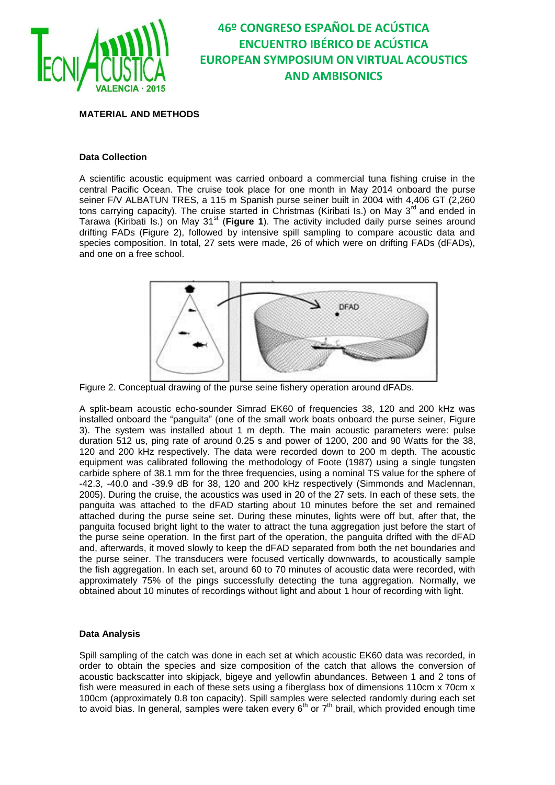

**MATERIAL AND METHODS**

### **Data Collection**

A scientific acoustic equipment was carried onboard a commercial tuna fishing cruise in the central Pacific Ocean. The cruise took place for one month in May 2014 onboard the purse seiner F/V ALBATUN TRES, a 115 m Spanish purse seiner built in 2004 with 4,406 GT (2,260 tons carrying capacity). The cruise started in Christmas (Kiribati Is.) on May 3<sup>rd</sup> and ended in Tarawa (Kiribati Is.) on May 31<sup>st</sup> (Figure 1). The activity included daily purse seines around drifting FADs (Figure 2), followed by intensive spill sampling to compare acoustic data and species composition. In total, 27 sets were made, 26 of which were on drifting FADs (dFADs), and one on a free school.



Figure 2. Conceptual drawing of the purse seine fishery operation around dFADs.

A split-beam acoustic echo-sounder Simrad EK60 of frequencies 38, 120 and 200 kHz was installed onboard the "panguita" (one of the small work boats onboard the purse seiner, Figure 3). The system was installed about 1 m depth. The main acoustic parameters were: pulse duration 512 us, ping rate of around 0.25 s and power of 1200, 200 and 90 Watts for the 38, 120 and 200 kHz respectively. The data were recorded down to 200 m depth. The acoustic equipment was calibrated following the methodology of Foote (1987) using a single tungsten carbide sphere of 38.1 mm for the three frequencies, using a nominal TS value for the sphere of -42.3, -40.0 and -39.9 dB for 38, 120 and 200 kHz respectively (Simmonds and Maclennan, 2005). During the cruise, the acoustics was used in 20 of the 27 sets. In each of these sets, the panguita was attached to the dFAD starting about 10 minutes before the set and remained attached during the purse seine set. During these minutes, lights were off but, after that, the panguita focused bright light to the water to attract the tuna aggregation just before the start of the purse seine operation. In the first part of the operation, the panguita drifted with the dFAD and, afterwards, it moved slowly to keep the dFAD separated from both the net boundaries and the purse seiner. The transducers were focused vertically downwards, to acoustically sample the fish aggregation. In each set, around 60 to 70 minutes of acoustic data were recorded, with approximately 75% of the pings successfully detecting the tuna aggregation. Normally, we obtained about 10 minutes of recordings without light and about 1 hour of recording with light.

### **Data Analysis**

Spill sampling of the catch was done in each set at which acoustic EK60 data was recorded, in order to obtain the species and size composition of the catch that allows the conversion of acoustic backscatter into skipjack, bigeye and yellowfin abundances. Between 1 and 2 tons of fish were measured in each of these sets using a fiberglass box of dimensions 110cm x 70cm x 100cm (approximately 0.8 ton capacity). Spill samples were selected randomly during each set to avoid bias. In general, samples were taken every  $6<sup>th</sup>$  or  $7<sup>th</sup>$  brail, which provided enough time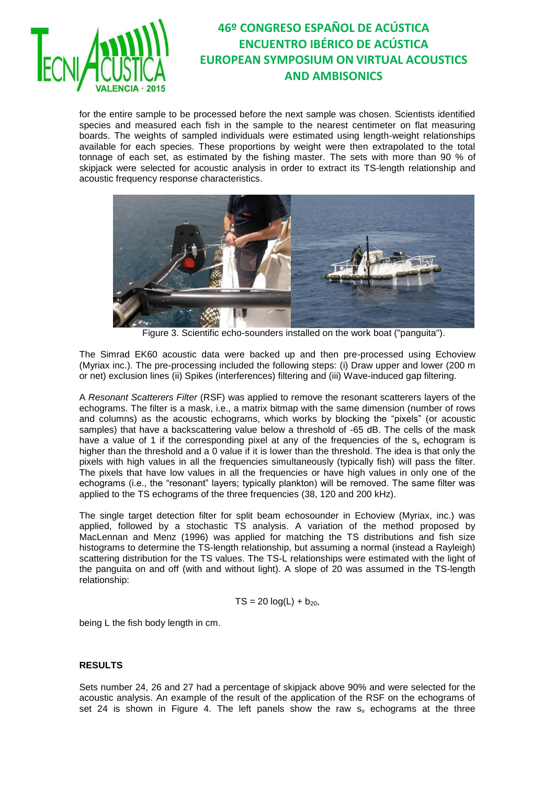

for the entire sample to be processed before the next sample was chosen. Scientists identified species and measured each fish in the sample to the nearest centimeter on flat measuring boards. The weights of sampled individuals were estimated using length-weight relationships available for each species. These proportions by weight were then extrapolated to the total tonnage of each set, as estimated by the fishing master. The sets with more than 90 % of skipjack were selected for acoustic analysis in order to extract its TS-length relationship and acoustic frequency response characteristics.



Figure 3. Scientific echo-sounders installed on the work boat ("panguita").

The Simrad EK60 acoustic data were backed up and then pre-processed using Echoview (Myriax inc.). The pre-processing included the following steps: (i) Draw upper and lower (200 m or net) exclusion lines (ii) Spikes (interferences) filtering and (iii) Wave-induced gap filtering.

A *Resonant Scatterers Filter* (RSF) was applied to remove the resonant scatterers layers of the echograms. The filter is a mask, i.e., a matrix bitmap with the same dimension (number of rows and columns) as the acoustic echograms, which works by blocking the "pixels" (or acoustic samples) that have a backscattering value below a threshold of -65 dB. The cells of the mask have a value of 1 if the corresponding pixel at any of the frequencies of the  $s<sub>v</sub>$  echogram is higher than the threshold and a 0 value if it is lower than the threshold. The idea is that only the pixels with high values in all the frequencies simultaneously (typically fish) will pass the filter. The pixels that have low values in all the frequencies or have high values in only one of the echograms (i.e., the "resonant" layers; typically plankton) will be removed. The same filter was applied to the TS echograms of the three frequencies (38, 120 and 200 kHz).

The single target detection filter for split beam echosounder in Echoview (Myriax, inc.) was applied, followed by a stochastic TS analysis. A variation of the method proposed by MacLennan and Menz (1996) was applied for matching the TS distributions and fish size histograms to determine the TS-length relationship, but assuming a normal (instead a Rayleigh) scattering distribution for the TS values. The TS-L relationships were estimated with the light of the panguita on and off (with and without light). A slope of 20 was assumed in the TS-length relationship:

$$
TS = 20 \log(L) + b_{20}
$$

being L the fish body length in cm.

### **RESULTS**

Sets number 24, 26 and 27 had a percentage of skipjack above 90% and were selected for the acoustic analysis. An example of the result of the application of the RSF on the echograms of set 24 is shown in Figure 4. The left panels show the raw  $s<sub>v</sub>$  echograms at the three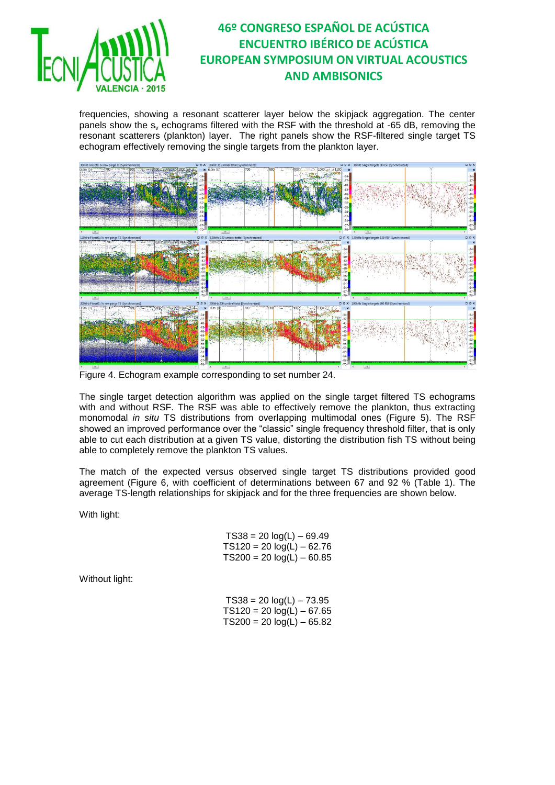

frequencies, showing a resonant scatterer layer below the skipjack aggregation. The center panels show the  $s<sub>v</sub>$  echograms filtered with the RSF with the threshold at -65 dB, removing the resonant scatterers (plankton) layer. The right panels show the RSF-filtered single target TS echogram effectively removing the single targets from the plankton layer.



Figure 4. Echogram example corresponding to set number 24.

The single target detection algorithm was applied on the single target filtered TS echograms with and without RSF. The RSF was able to effectively remove the plankton, thus extracting monomodal *in situ* TS distributions from overlapping multimodal ones (Figure 5). The RSF showed an improved performance over the "classic" single frequency threshold filter, that is only able to cut each distribution at a given TS value, distorting the distribution fish TS without being able to completely remove the plankton TS values.

The match of the expected versus observed single target TS distributions provided good agreement (Figure 6, with coefficient of determinations between 67 and 92 % (Table 1). The average TS-length relationships for skipjack and for the three frequencies are shown below.

With light:

| $TS38 = 20 log(L) - 69.49$  |
|-----------------------------|
| $TS120 = 20 log(L) - 62.76$ |
| $TS200 = 20 log(L) - 60.85$ |

Without light:

| $TS38 = 20 log(L) - 73.95$  |
|-----------------------------|
| $TS120 = 20 log(L) - 67.65$ |
| $TS200 = 20 log(L) - 65.82$ |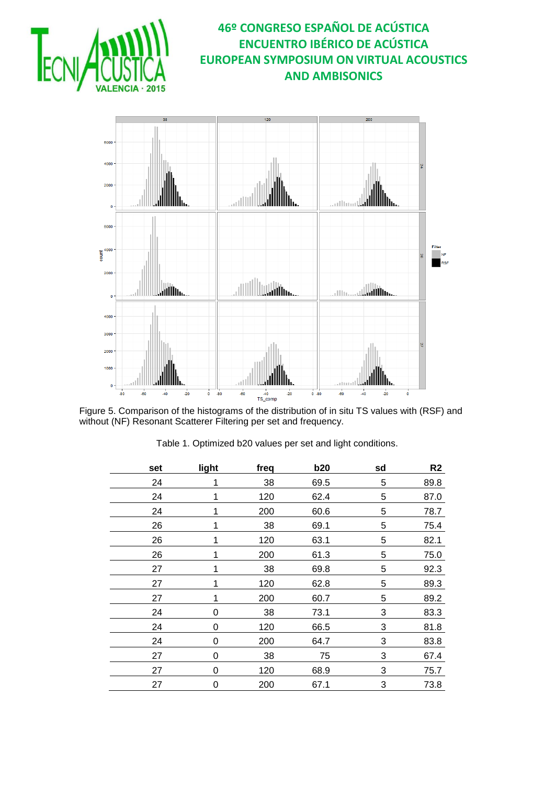

Figure 5. Comparison of the histograms of the distribution of in situ TS values with (RSF) and without (NF) Resonant Scatterer Filtering per set and frequency.

| set | light    | freq | b20  | sd | R <sub>2</sub> |
|-----|----------|------|------|----|----------------|
| 24  |          | 38   | 69.5 | 5  | 89.8           |
| 24  |          | 120  | 62.4 | 5  | 87.0           |
| 24  |          | 200  | 60.6 | 5  | 78.7           |
| 26  |          | 38   | 69.1 | 5  | 75.4           |
| 26  |          | 120  | 63.1 | 5  | 82.1           |
| 26  |          | 200  | 61.3 | 5  | 75.0           |
| 27  |          | 38   | 69.8 | 5  | 92.3           |
| 27  |          | 120  | 62.8 | 5  | 89.3           |
| 27  |          | 200  | 60.7 | 5  | 89.2           |
| 24  | 0        | 38   | 73.1 | 3  | 83.3           |
| 24  | 0        | 120  | 66.5 | 3  | 81.8           |
| 24  | 0        | 200  | 64.7 | 3  | 83.8           |
| 27  | 0        | 38   | 75   | 3  | 67.4           |
| 27  | $\Omega$ | 120  | 68.9 | 3  | 75.7           |
| 27  | 0        | 200  | 67.1 | 3  | 73.8           |

Table 1. Optimized b20 values per set and light conditions.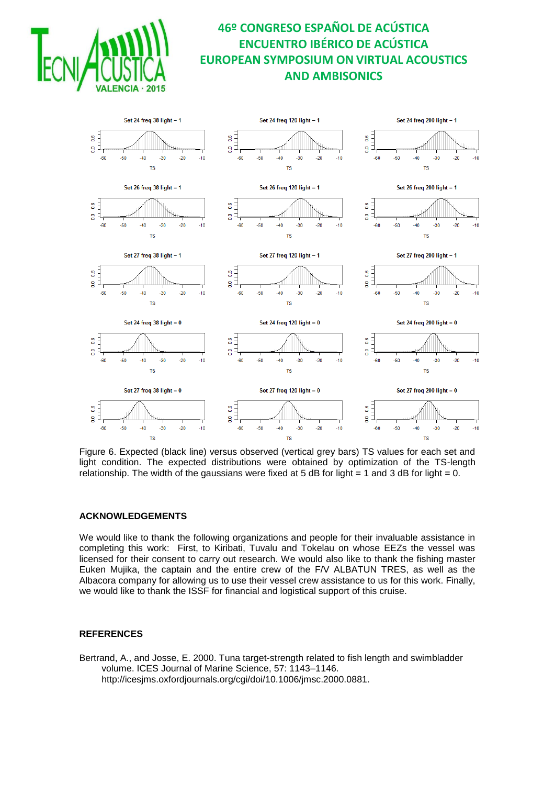



Figure 6. Expected (black line) versus observed (vertical grey bars) TS values for each set and light condition. The expected distributions were obtained by optimization of the TS-length relationship. The width of the gaussians were fixed at 5 dB for light  $= 1$  and 3 dB for light  $= 0$ .

### **ACKNOWLEDGEMENTS**

We would like to thank the following organizations and people for their invaluable assistance in completing this work: First, to Kiribati, Tuvalu and Tokelau on whose EEZs the vessel was licensed for their consent to carry out research. We would also like to thank the fishing master Euken Mujika, the captain and the entire crew of the F/V ALBATUN TRES, as well as the Albacora company for allowing us to use their vessel crew assistance to us for this work. Finally, we would like to thank the ISSF for financial and logistical support of this cruise.

### **REFERENCES**

Bertrand, A., and Josse, E. 2000. Tuna target-strength related to fish length and swimbladder volume. ICES Journal of Marine Science, 57: 1143–1146. http://icesjms.oxfordjournals.org/cgi/doi/10.1006/jmsc.2000.0881.